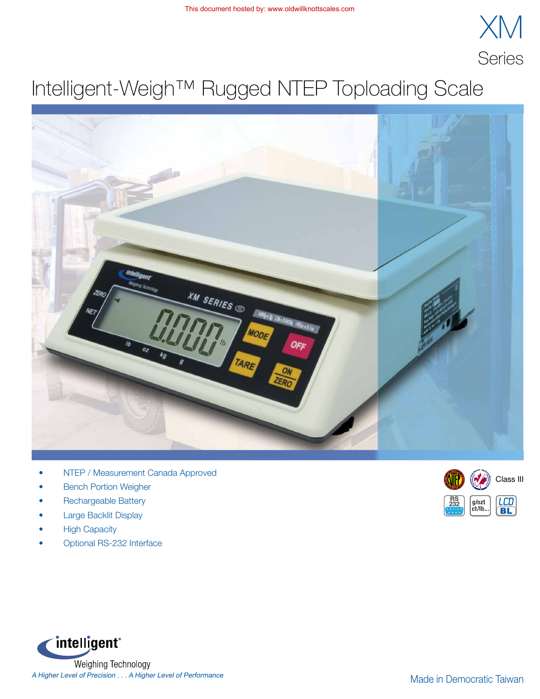

## Intelligent-Weigh™ Rugged NTEP Toploading Scale



- NTEP / Measurement Canada Approved
- **Bench Portion Weigher**
- Rechargeable Battery
- Large Backlit Display
- **High Capacity**
- Optional RS-232 Interface